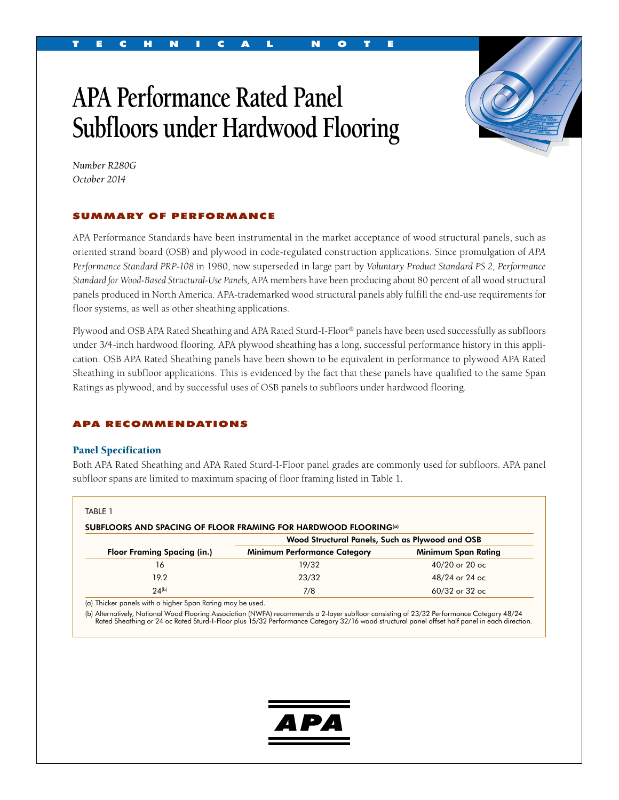# **APA Performance Rated Panel Subfloors under Hardwood Flooring**



*Number R280G October 2014*

#### SUMMARY OF PERFORMANCE

APA Performance Standards have been instrumental in the market acceptance of wood structural panels, such as oriented strand board (OSB) and plywood in code-regulated construction applications. Since promulgation of *APA Performance Standard PRP-108* in 1980, now superseded in large part by *Voluntary Product Standard PS 2, Performance Standard for Wood-Based Structural-Use Panels,* APA members have been producing about 80 percent of all wood structural panels produced in North America. APA-trademarked wood structural panels ably fulfill the end-use requirements for floor systems, as well as other sheathing applications.

Plywood and OSB APA Rated Sheathing and APA Rated Sturd-I-Floor® panels have been used successfully as subfloors under 3/4-inch hardwood flooring. APA plywood sheathing has a long, successful performance history in this application. OSB APA Rated Sheathing panels have been shown to be equivalent in performance to plywood APA Rated Sheathing in subfloor applications. This is evidenced by the fact that these panels have qualified to the same Span Ratings as plywood, and by successful uses of OSB panels to subfloors under hardwood flooring.

#### APA RECOMMENDATIONS

#### Panel Specification

Both APA Rated Sheathing and APA Rated Sturd-I-Floor panel grades are commonly used for subfloors. APA panel subfloor spans are limited to maximum spacing of floor framing listed in Table 1.

| <b>Floor Framing Spacing (in.)</b> | SUBFLOORS AND SPACING OF FLOOR FRAMING FOR HARDWOOD FLOORING(a)<br>Wood Structural Panels, Such as Plywood and OSB |                     |
|------------------------------------|--------------------------------------------------------------------------------------------------------------------|---------------------|
|                                    | <b>Minimum Performance Category</b>                                                                                | Minimum Span Rating |
| 16                                 | 19/32                                                                                                              | 40/20 or 20 oc      |
| 19.2                               | 23/32                                                                                                              | 48/24 or 24 oc      |
| $24^{(b)}$                         | 7/8                                                                                                                | 60/32 or 32 oc      |

(a) Thicker panels with a higher Span Rating may be used.

b) Alternatively, National Wood Flooring Association (NWFA) recommends a 2-layer subfloor consisting of 23/32 Performance Category 48/24<br>Rated Sheathing or 24 oc Rated Sturd-I-Floor plus 15/32 Performance Category 32/16 wo

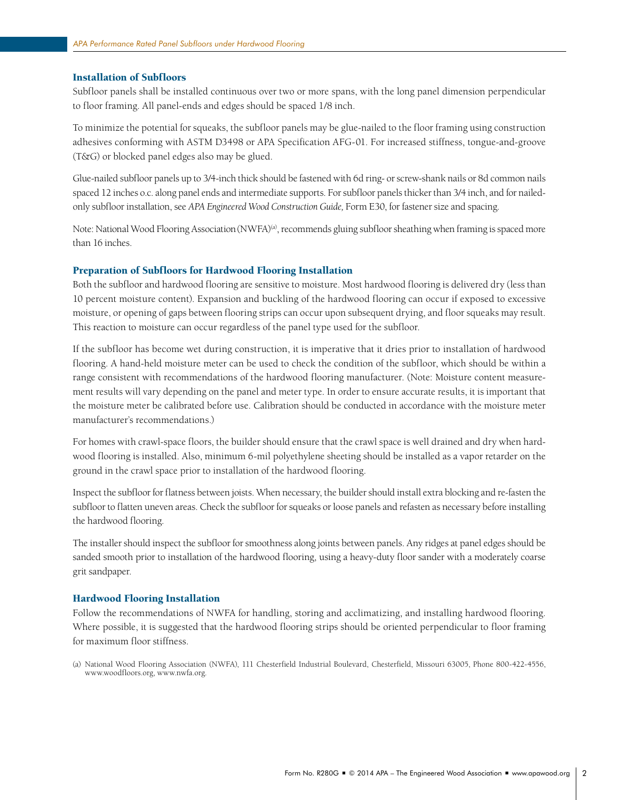#### Installation of Subfloors

Subfloor panels shall be installed continuous over two or more spans, with the long panel dimension perpendicular to floor framing. All panel-ends and edges should be spaced 1/8 inch.

To minimize the potential for squeaks, the subfloor panels may be glue-nailed to the floor framing using construction adhesives conforming with ASTM D3498 or APA Specification AFG-01. For increased stiffness, tongue-and-groove (T&G) or blocked panel edges also may be glued.

Glue-nailed subfloor panels up to 3/4-inch thick should be fastened with 6d ring- or screw-shank nails or 8d common nails spaced 12 inches o.c. along panel ends and intermediate supports. For subfloor panels thicker than 3/4 inch, and for nailedonly subfloor installation, see *APA Engineered Wood Construction Guide,* Form E30, for fastener size and spacing.

Note: National Wood Flooring Association (NWFA)<sup>(a)</sup>, recommends gluing subfloor sheathing when framing is spaced more than 16 inches.

#### Preparation of Subfloors for Hardwood Flooring Installation

Both the subfloor and hardwood flooring are sensitive to moisture. Most hardwood flooring is delivered dry (less than 10 percent moisture content). Expansion and buckling of the hardwood flooring can occur if exposed to excessive moisture, or opening of gaps between flooring strips can occur upon subsequent drying, and floor squeaks may result. This reaction to moisture can occur regardless of the panel type used for the subfloor.

If the subfloor has become wet during construction, it is imperative that it dries prior to installation of hardwood flooring. A hand-held moisture meter can be used to check the condition of the subfloor, which should be within a range consistent with recommendations of the hardwood flooring manufacturer. (Note: Moisture content measurement results will vary depending on the panel and meter type. In order to ensure accurate results, it is important that the moisture meter be calibrated before use. Calibration should be conducted in accordance with the moisture meter manufacturer's recommendations.)

For homes with crawl-space floors, the builder should ensure that the crawl space is well drained and dry when hardwood flooring is installed. Also, minimum 6-mil polyethylene sheeting should be installed as a vapor retarder on the ground in the crawl space prior to installation of the hardwood flooring.

Inspect the subfloor for flatness between joists. When necessary, the builder should install extra blocking and re-fasten the subfloor to flatten uneven areas. Check the subfloor for squeaks or loose panels and refasten as necessary before installing the hardwood flooring.

The installer should inspect the subfloor for smoothness along joints between panels. Any ridges at panel edges should be sanded smooth prior to installation of the hardwood flooring, using a heavy-duty floor sander with a moderately coarse grit sandpaper.

#### Hardwood Flooring Installation

Follow the recommendations of NWFA for handling, storing and acclimatizing, and installing hardwood flooring. Where possible, it is suggested that the hardwood flooring strips should be oriented perpendicular to floor framing for maximum floor stiffness.

<sup>(</sup>a) National Wood Flooring Association (NWFA), 111 Chesterfield Industrial Boulevard, Chesterfield, Missouri 63005, Phone 800-422-4556, www.woodfloors.org, www.nwfa.org.